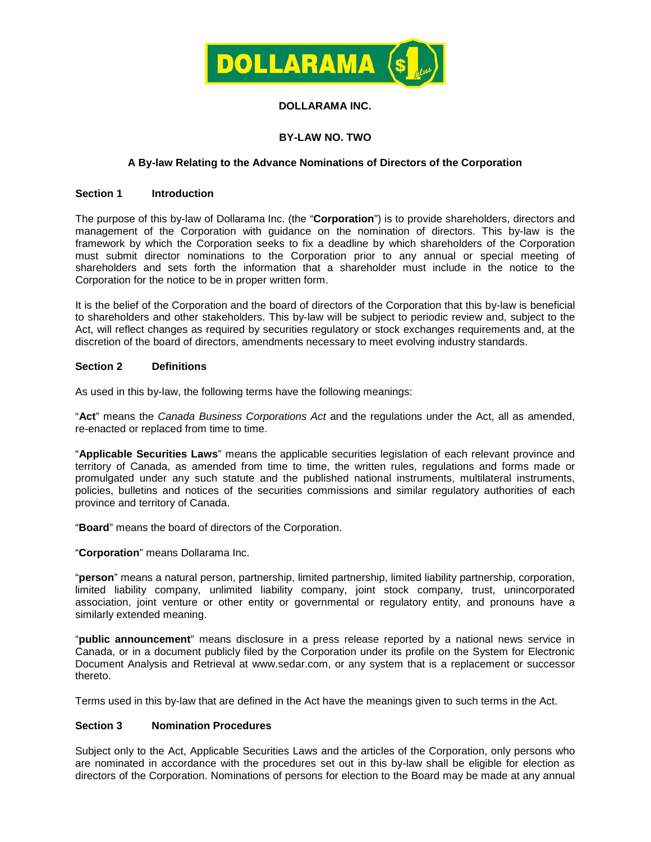

# **DOLLARAMA INC.**

# **BY-LAW NO. TWO**

# **A By-law Relating to the Advance Nominations of Directors of the Corporation**

## **Section 1 Introduction**

The purpose of this by-law of Dollarama Inc. (the "**Corporation**") is to provide shareholders, directors and management of the Corporation with guidance on the nomination of directors. This by-law is the framework by which the Corporation seeks to fix a deadline by which shareholders of the Corporation must submit director nominations to the Corporation prior to any annual or special meeting of shareholders and sets forth the information that a shareholder must include in the notice to the Corporation for the notice to be in proper written form.

It is the belief of the Corporation and the board of directors of the Corporation that this by-law is beneficial to shareholders and other stakeholders. This by-law will be subject to periodic review and, subject to the Act, will reflect changes as required by securities regulatory or stock exchanges requirements and, at the discretion of the board of directors, amendments necessary to meet evolving industry standards.

## **Section 2 Definitions**

As used in this by-law, the following terms have the following meanings:

"**Act**" means the *Canada Business Corporations Act* and the regulations under the Act, all as amended, re-enacted or replaced from time to time.

"**Applicable Securities Laws**" means the applicable securities legislation of each relevant province and territory of Canada, as amended from time to time, the written rules, regulations and forms made or promulgated under any such statute and the published national instruments, multilateral instruments, policies, bulletins and notices of the securities commissions and similar regulatory authorities of each province and territory of Canada.

"**Board**" means the board of directors of the Corporation.

"**Corporation**" means Dollarama Inc.

"**person**" means a natural person, partnership, limited partnership, limited liability partnership, corporation, limited liability company, unlimited liability company, joint stock company, trust, unincorporated association, joint venture or other entity or governmental or regulatory entity, and pronouns have a similarly extended meaning.

"**public announcement**" means disclosure in a press release reported by a national news service in Canada, or in a document publicly filed by the Corporation under its profile on the System for Electronic Document Analysis and Retrieval at [www.sedar.com,](http://www.sedar.com/) or any system that is a replacement or successor thereto.

Terms used in this by-law that are defined in the Act have the meanings given to such terms in the Act.

# **Section 3 Nomination Procedures**

Subject only to the Act, Applicable Securities Laws and the articles of the Corporation, only persons who are nominated in accordance with the procedures set out in this by-law shall be eligible for election as directors of the Corporation. Nominations of persons for election to the Board may be made at any annual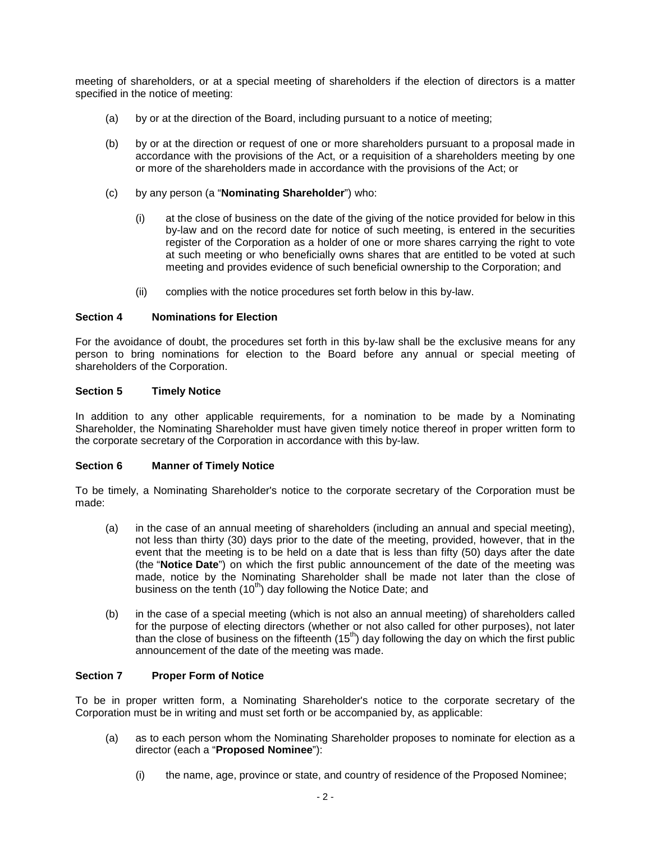meeting of shareholders, or at a special meeting of shareholders if the election of directors is a matter specified in the notice of meeting:

- (a) by or at the direction of the Board, including pursuant to a notice of meeting;
- (b) by or at the direction or request of one or more shareholders pursuant to a proposal made in accordance with the provisions of the Act, or a requisition of a shareholders meeting by one or more of the shareholders made in accordance with the provisions of the Act; or
- (c) by any person (a "**Nominating Shareholder**") who:
	- (i) at the close of business on the date of the giving of the notice provided for below in this by-law and on the record date for notice of such meeting, is entered in the securities register of the Corporation as a holder of one or more shares carrying the right to vote at such meeting or who beneficially owns shares that are entitled to be voted at such meeting and provides evidence of such beneficial ownership to the Corporation; and
	- (ii) complies with the notice procedures set forth below in this by-law.

## **Section 4 Nominations for Election**

For the avoidance of doubt, the procedures set forth in this by-law shall be the exclusive means for any person to bring nominations for election to the Board before any annual or special meeting of shareholders of the Corporation.

# **Section 5 Timely Notice**

In addition to any other applicable requirements, for a nomination to be made by a Nominating Shareholder, the Nominating Shareholder must have given timely notice thereof in proper written form to the corporate secretary of the Corporation in accordance with this by-law.

# **Section 6 Manner of Timely Notice**

To be timely, a Nominating Shareholder's notice to the corporate secretary of the Corporation must be made:

- (a) in the case of an annual meeting of shareholders (including an annual and special meeting), not less than thirty (30) days prior to the date of the meeting, provided, however, that in the event that the meeting is to be held on a date that is less than fifty (50) days after the date (the "**Notice Date**") on which the first public announcement of the date of the meeting was made, notice by the Nominating Shareholder shall be made not later than the close of business on the tenth  $(10<sup>th</sup>)$  day following the Notice Date; and
- (b) in the case of a special meeting (which is not also an annual meeting) of shareholders called for the purpose of electing directors (whether or not also called for other purposes), not later than the close of business on the fifteenth  $(15<sup>th</sup>)$  day following the day on which the first public announcement of the date of the meeting was made.

# **Section 7 Proper Form of Notice**

To be in proper written form, a Nominating Shareholder's notice to the corporate secretary of the Corporation must be in writing and must set forth or be accompanied by, as applicable:

- (a) as to each person whom the Nominating Shareholder proposes to nominate for election as a director (each a "**Proposed Nominee**"):
	- (i) the name, age, province or state, and country of residence of the Proposed Nominee;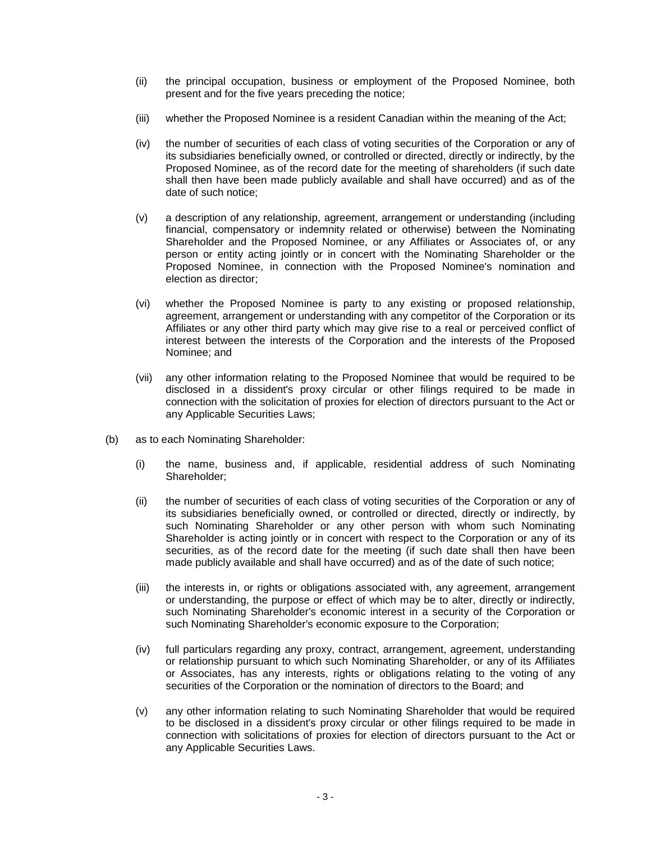- (ii) the principal occupation, business or employment of the Proposed Nominee, both present and for the five years preceding the notice;
- (iii) whether the Proposed Nominee is a resident Canadian within the meaning of the Act;
- (iv) the number of securities of each class of voting securities of the Corporation or any of its subsidiaries beneficially owned, or controlled or directed, directly or indirectly, by the Proposed Nominee, as of the record date for the meeting of shareholders (if such date shall then have been made publicly available and shall have occurred) and as of the date of such notice;
- (v) a description of any relationship, agreement, arrangement or understanding (including financial, compensatory or indemnity related or otherwise) between the Nominating Shareholder and the Proposed Nominee, or any Affiliates or Associates of, or any person or entity acting jointly or in concert with the Nominating Shareholder or the Proposed Nominee, in connection with the Proposed Nominee's nomination and election as director;
- (vi) whether the Proposed Nominee is party to any existing or proposed relationship, agreement, arrangement or understanding with any competitor of the Corporation or its Affiliates or any other third party which may give rise to a real or perceived conflict of interest between the interests of the Corporation and the interests of the Proposed Nominee; and
- (vii) any other information relating to the Proposed Nominee that would be required to be disclosed in a dissident's proxy circular or other filings required to be made in connection with the solicitation of proxies for election of directors pursuant to the Act or any Applicable Securities Laws;
- (b) as to each Nominating Shareholder:
	- (i) the name, business and, if applicable, residential address of such Nominating Shareholder;
	- (ii) the number of securities of each class of voting securities of the Corporation or any of its subsidiaries beneficially owned, or controlled or directed, directly or indirectly, by such Nominating Shareholder or any other person with whom such Nominating Shareholder is acting jointly or in concert with respect to the Corporation or any of its securities, as of the record date for the meeting (if such date shall then have been made publicly available and shall have occurred) and as of the date of such notice;
	- (iii) the interests in, or rights or obligations associated with, any agreement, arrangement or understanding, the purpose or effect of which may be to alter, directly or indirectly, such Nominating Shareholder's economic interest in a security of the Corporation or such Nominating Shareholder's economic exposure to the Corporation;
	- (iv) full particulars regarding any proxy, contract, arrangement, agreement, understanding or relationship pursuant to which such Nominating Shareholder, or any of its Affiliates or Associates, has any interests, rights or obligations relating to the voting of any securities of the Corporation or the nomination of directors to the Board; and
	- (v) any other information relating to such Nominating Shareholder that would be required to be disclosed in a dissident's proxy circular or other filings required to be made in connection with solicitations of proxies for election of directors pursuant to the Act or any Applicable Securities Laws.